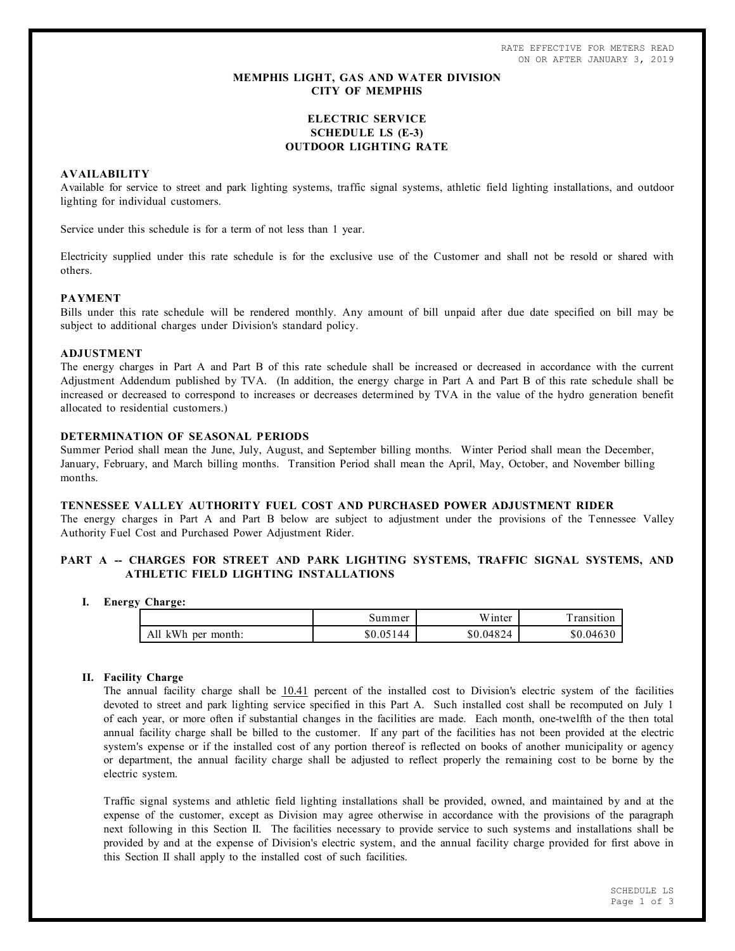RATE EFFECTIVE FOR METERS READ ON OR AFTER JANUARY 3, 2019

# **MEMPHIS LIGHT, GAS AND WATER DIVISION CITY OF MEMPHIS**

# **ELECTRIC SERVICE SCHEDULE LS (E-3) OUTDOOR LIGHTING RATE**

# **AVAILABILITY**

Available for service to street and park lighting systems, traffic signal systems, athletic field lighting installations, and outdoor lighting for individual customers.

Service under this schedule is for a term of not less than 1 year.

Electricity supplied under this rate schedule is for the exclusive use of the Customer and shall not be resold or shared with others.

### **PAYMENT**

Bills under this rate schedule will be rendered monthly. Any amount of bill unpaid after due date specified on bill may be subject to additional charges under Division's standard policy.

#### **ADJUSTMENT**

The energy charges in Part A and Part B of this rate schedule shall be increased or decreased in accordance with the current Adjustment Addendum published by TVA. (In addition, the energy charge in Part A and Part B of this rate schedule shall be increased or decreased to correspond to increases or decreases determined by TVA in the value of the hydro generation benefit allocated to residential customers.)

### **DETERMINATION OF SEASONAL PERIODS**

Summer Period shall mean the June, July, August, and September billing months. Winter Period shall mean the December, January, February, and March billing months. Transition Period shall mean the April, May, October, and November billing months.

## **TENNESSEE VALLEY AUTHORITY FUEL COST AND PURCHASED POWER ADJUSTMENT RIDER**

The energy charges in Part A and Part B below are subject to adjustment under the provisions of the Tennessee Valley Authority Fuel Cost and Purchased Power Adjustment Rider.

# PART A -- CHARGES FOR STREET AND PARK LIGHTING SYSTEMS, TRAFFIC SIGNAL SYSTEMS, AND **ATHLETIC FIELD LIGHTING INSTALLATIONS**

### **I. Energy Charge:**

|                             | summer    | Winter    | ransition |
|-----------------------------|-----------|-----------|-----------|
| All<br>kWh<br>month:<br>per | \$0.05144 | \$0.04824 | \$0.04630 |

### **II. Facility Charge**

The annual facility charge shall be 10.41 percent of the installed cost to Division's electric system of the facilities devoted to street and park lighting service specified in this Part A. Such installed cost shall be recomputed on July 1 of each year, or more often if substantial changes in the facilities are made. Each month, one-twelfth of the then total annual facility charge shall be billed to the customer. If any part of the facilities has not been provided at the electric system's expense or if the installed cost of any portion thereof is reflected on books of another municipality or agency or department, the annual facility charge shall be adjusted to reflect properly the remaining cost to be borne by the electric system.

Traffic signal systems and athletic field lighting installations shall be provided, owned, and maintained by and at the expense of the customer, except as Division may agree otherwise in accordance with the provisions of the paragraph next following in this Section II. The facilities necessary to provide service to such systems and installations shall be provided by and at the expense of Division's electric system, and the annual facility charge provided for first above in this Section II shall apply to the installed cost of such facilities.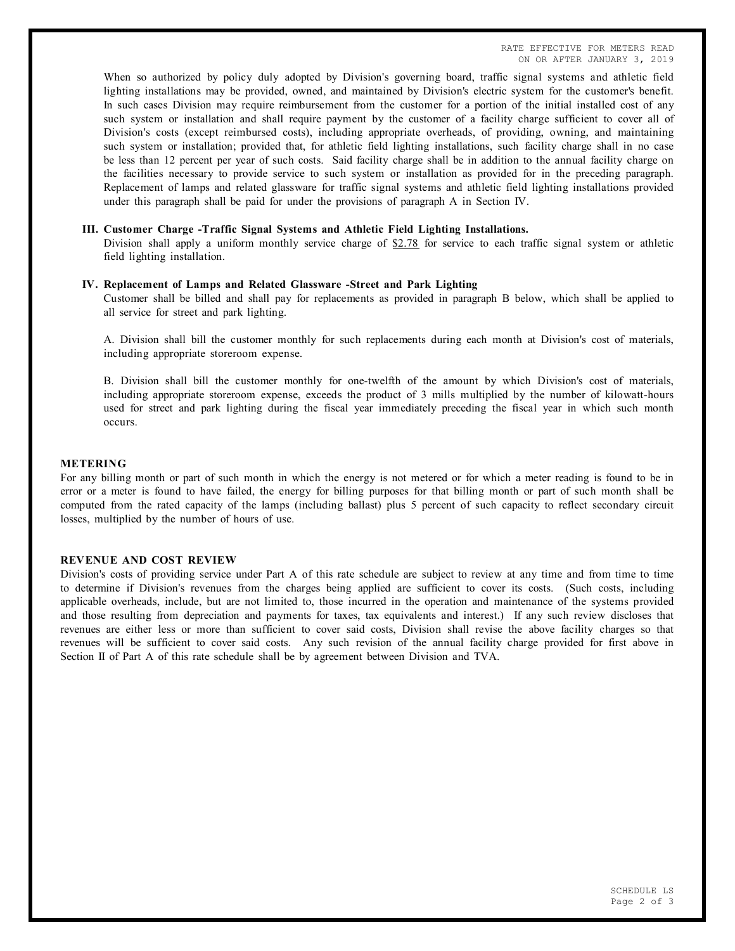When so authorized by policy duly adopted by Division's governing board, traffic signal systems and athletic field lighting installations may be provided, owned, and maintained by Division's electric system for the customer's benefit. In such cases Division may require reimbursement from the customer for a portion of the initial installed cost of any such system or installation and shall require payment by the customer of a facility charge sufficient to cover all of Division's costs (except reimbursed costs), including appropriate overheads, of providing, owning, and maintaining such system or installation; provided that, for athletic field lighting installations, such facility charge shall in no case be less than 12 percent per year of such costs. Said facility charge shall be in addition to the annual facility charge on the facilities necessary to provide service to such system or installation as provided for in the preceding paragraph. Replacement of lamps and related glassware for traffic signal systems and athletic field lighting installations provided under this paragraph shall be paid for under the provisions of paragraph A in Section IV.

#### **III. Customer Charge -Traffic Signal Systems and Athletic Field Lighting Installations.**

Division shall apply a uniform monthly service charge of  $$2.78$  for service to each traffic signal system or athletic field lighting installation.

### **IV. Replacement of Lamps and Related Glassware -Street and Park Lighting**

Customer shall be billed and shall pay for replacements as provided in paragraph B below, which shall be applied to all service for street and park lighting.

A. Division shall bill the customer monthly for such replacements during each month at Division's cost of materials, including appropriate storeroom expense.

B. Division shall bill the customer monthly for one-twelfth of the amount by which Division's cost of materials, including appropriate storeroom expense, exceeds the product of 3 mills multiplied by the number of kilowatt-hours used for street and park lighting during the fiscal year immediately preceding the fiscal year in which such month occurs.

# **METERING**

For any billing month or part of such month in which the energy is not metered or for which a meter reading is found to be in error or a meter is found to have failed, the energy for billing purposes for that billing month or part of such month shall be computed from the rated capacity of the lamps (including ballast) plus 5 percent of such capacity to reflect secondary circuit losses, multiplied by the number of hours of use.

## **REVENUE AND COST REVIEW**

Division's costs of providing service under Part A of this rate schedule are subject to review at any time and from time to time to determine if Division's revenues from the charges being applied are sufficient to cover its costs. (Such costs, including applicable overheads, include, but are not limited to, those incurred in the operation and maintenance of the systems provided and those resulting from depreciation and payments for taxes, tax equivalents and interest.) If any such review discloses that revenues are either less or more than sufficient to cover said costs, Division shall revise the above facility charges so that revenues will be sufficient to cover said costs. Any such revision of the annual facility charge provided for first above in Section II of Part A of this rate schedule shall be by agreement between Division and TVA.